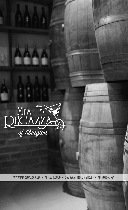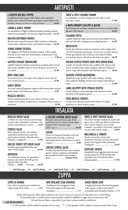# ANTIPASTI

### L STUFFED RED BELL PEPPER

A grilled red bell pepper half, filled with vegetable risotto and a blend of herbs and spices, then baked with Fontina cheese served on a bed of lettuce ............... **14.99**

# LEMON & GARLIC SHRIMP

An abundance of lightly battered medium shrimp sautéed with lemon and garlic. Served over angel hair pasta... **21.99**

### ROASTED BUTTERNUT RAVIOLI

Ricotta and roasted butternut filled ravioli in a Marsala cream sauce with prosciutto and toasted walnuts.... **16.99**

### JUMBO SHRIMP COCKTAIL

The biggest and freshest shrimp around. Wild caught shrimp served with our homemade cocktail sauce and a lemon wedge .............................................................. **4.99 ea.**

### SAUTÉED CHICKEN TENDERLOINS

Lightly battered chicken tenderloins sautéed with Lemon and Garlic, Buffalo style or Sweet & Spicy. Served over rice pilaf ....................................................................... **12.99**

# ROCK CRAB CAKES

| Pan seared rock crab cakes with chipotle aioli. Served |  |
|--------------------------------------------------------|--|
|                                                        |  |

# GARLIC BREAD

An oven toasted baguette topped with homemade roasted garlic butter and Parmesan cheese ............................. **6.99**

### REGAZZA MUSSELS

Fresh steamed mussels in your choice of three styles, tomato and scallion scampi sauce, rosemary Dijon cream or marinara......................................................................... **14.99**

# SWEET & SPICY COCONUT SHRIMP

Six butterfly coconut shrimp served with a sweet and spicy sauce ........................................................... **17.99**

### L MAPLE BRANDY SCALLOPS & BACON

Fresh large sea scallops wrapped with bacon and broiled, glazed with brandy ..................................................... **18.99**

### CALAMARI FRITTA

Lightly battered rings and tentacles fried golden brown and served with a pepperoncini dipping sauce ...... **14.99**

### **BRUSCHETTA**

Fresh diced Roma tomatoes tossed in extra virgin olive oil with fresh basil and garlic, served over toasted Tuscan bread, garnished with scallions and melted buffalo mozzarella cheese, drizzled with balsamic glaze.... **10.99**

### SIRLOIN STUFFED POTATO SKINS WITH ONION RINGS

2 garlic & teriyaki Sirloin tips, grilled with cheese and bacon stuffed potato skins, topped with beer battered onion rings and drizzled with balsamic glaze......... **19.99**

### SEAFOOD STUFFED MUSHROOMS

Mushroom caps stuffed with fresh scallops, shrimp and crabmeat stuffing, broiled and topped with lobster sauce ............................................................................. **12.99**

# LAMB LOLLIPOPS WITH SPINACH RISOTTO

Lamb lollipops with asparagus and spinach risotto, drizzled with balsamic glaze ..................................... **19.99**

# FRIED BRUSSEL SPROUTS

Crispy fried sprouts tossed with choice of maple bourbon or sweet & spicy sauce ............................... **12.99**

# REGAZZA HOUSE SALAD

A blend of crisp romaine and iceberg tossed with cucumbers, tomatoes, red onions, and julienne carrots..........**6.99**

### SPINACH SALAD

Baby spinach leaves, red onions, marinated mushrooms, pancetta and toasted walnuts. Tossed with a balsamic vinaigrette .....................**11.99**

### GRILLED TURKEY TIPS GREEK SALAD

Bourbon glazed grilled turkey tips over a Greek salad..........................**19.99**

### ANTIPASTO

A traditional variety of vegetables, cheeses and meats & fresh greens topped with tuna fish Family.......**16.99** For One.......**10.99** INSALATA

# L CHICKEN SUPREME GREEK SALAD

Breaded chicken breast, pan fried and sliced over a classic Greek salad. Topped with a lemon caper butter sauce ...................................**19.99**

### CAESAR

Hearts of romaine blended with our housemade dressing, croûtons, Parmesan cheese and anchovies upon request..............................................**8.99**

### LOBSTER CAPRESE SALAD

Freshly shucked lobster over mesclun greens, Roma tomatoes and buffalo mozzarella drizzled with balsamic glaze............................ **Market Price**

### SWEET & SPICY CHICKEN SALAD

Pan fried chicken tenders in sweet and spicy sauce with sun-dried cranberries and toasted walnuts over a fresh romaine, cucumber, red onion, julienne carrots and tomato salad .............**18.99**

### MOZZARELLA & TOMATO

Fresh mozzarella cheese and beefsteak tomatoes served over mixed greens and topped with a balsamic vinaigrette.............................................**14.99**

### EGGPLANT CAPRESE

Breaded & fried eggplant with warmed ricotta cheese & a fresh tomato and artichoke heart bruschetta with a balsamic glaze ...................................**17.99**

**Add Shrimp......14 Add Scallops......14 Add Steak Tips......12 Add Chicken......11 Add Salmon......14**

# ZUPPA

### ZUPPA DI GIORNO

Our chef 's seasonal and traditional soups made fresh daily...................5.99

# NEW ENGLAND CLAM CHOWDER

Traditional New England Clam Chowder topped with pancetta cracklins...........................................7.99

# BAKED ONION SOUP

A Regazza favorite. Beef and burgundy with a garlic croûton and melted mozzarella and Parmesan cheeses....6.99

Before placing your order, please inform your server if you or a person in your party has a food allergy. \*Consuming raw or undercooked meat, poultry, seafood, shellfish or eggs may increase your risk of food-borne illness, especially if you have certain medical conditions.

**LOOK FOR OUR FAVORITES!** 

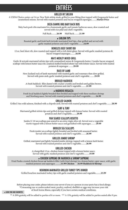# ENTRÉES

# GRILLED NY SIRLOIN

A USDA Choice center cut 14 oz. New York sirloin steak, grilled to your liking then topped with Gorgonzola butter and caramelized onions. Served with roasted potatoes and bacon wrapped asparagus..........**Market Price**

### DELTA DAWNS BBQ BABY BACK RIBS

Baby back pork ribs marinated in a homemade garlic and tomato barbecue sauce, slow roasted and served with rice pilaf and chef 's vegetable.

Full Rack..........**26.99** Half Rack..........**21.99**

### **SIRLOIN TIPS**

Roasted garlic and fresh herb teriyaki marinated beef tips, char-grilled and served with garlic mashed potatoes and chef 's vegetable..........**24.99**

### BONELESS BEEF SHORT RIB

12 oz. beef short rib, slow roasted and topped with a rich demi-glaze. Served with garlic mashed potatoes & bacon wrapped asparagus..........**26.99**

### MIA'S MEDLEY MIXED GRILL

Garlic & teriyaki marinated sirloin tips with caramelized onion & Gorgonzola butter, 2 jumbo bacon wrapped scallops with lemon butter sauce & a seafood stuffed broiled lobster tail with lobster sauce. Served with roasted potatoes & asparagus .........**29.99**

### RACK OF LAMB

New Zealand rack of lamb marinated with roasted garlic and rosemary then slow grilled. Served with pesto aioli, garlic mashed potatoes and chef 's vegetable..........**29.99**

### BROILED HADDOCK

A fresh haddock fillet dusted with cracker crumbs and broiled until golden brown. Served with roasted potatoes and chef 's vegetable..........**21.99**

### A HADDOCK REGAZZA

Fresh local haddock lightly breaded then broiled and topped with three medium shrimp and Newburg sauce. Served with roasted potatoes and chef 's vegetable..........**24.99**

### GRILLED SALMON

Grilled 14oz wild salmon, finished with a chipotle aioli. Served with roasted potatoes and chef 's vegetable..........**28.99**

### SURF & TURF

Marinated grilled sirloin tips and grilled shrimp topped with lemon butter. Served with roasted potatoes and chef 's vegetable..........**29.99**

### PAN SEARED SCALLOPS RISOTTO

Jumbo U-10 sea scallops pan seared in an extra virgin olive oil. Served over a vegetable risotto topped with a lemon butter sauce and garnished with asparagus..........**29.99**

### BROILED SEA SCALLOPS

Fresh tender sea scallops lightly breaded and broiled with seasoned butter. Served with roasted potatoes and chef 's vegetable..........**26.99**

### GRILLED JUMBO SHRIMP

Grilled, marinated and lightly breaded jumbo shrimp, topped with a lemon herb butter. Served with roasted potatoes and chef 's vegetable..........**26.99**

### GRILLED CHICKEN

A chargrilled 12 oz. chicken breast topped with a lemon butter sauce. Served with garlic mashed potatoes and chef 's vegetable..........**19.99**

### L CHICKEN SUPREME OR HADDOCK & SHRIMP SUPREME

Fried Panko crusted chicken breast **or** haddock fillet (with fried shrimp) in a lemon butter caper sauce, with garlic mashed potatoes and asparagus ..........**21.99 Chicken 26.99 Haddock & Shrimp**

### BOURBON MARINATED GRILLED TURKEY TIPS DINNER

Grilled bourbon marinated turkey tips with garlic mashed potatoes and vegetable..........**23.99**

Before placing your order, please inform your server if you or a person in your party has a food allergy. \*Consuming raw or undercooked meat, poultry, seafood, shellfish or eggs may increase your risk of food-borne illness, especially if you have certain medical conditions.

#### **LOOK FOR OUR FAVORITES!**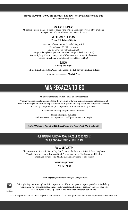**Served 4:00 pm - 10:00 pm excludes holidays, not available for take-out.**

No substitutions please.

### MONDAY / TUESDAY

All dinner entrées include a glass of house wine or non-alcoholic beverage of your choice. Also get 10% off your bill when you pay with cash!

#### WEDNESDAY / THURSDAY **Prime Rib Trilogy Nights**

20 oz. cut of slow roasted Certified Angus Rib. Your choice of 3 different ways Au jus Style (topped with Au jus) Gorgonzola Style (topped with a melted Gorgonzola cheese butter) Kansas Style (grilled and topped with BBQ sauce and caramelized onions) Served with choice of potato and vegetable..........**28.99**

# SUNDAY

**All Day and Night**

Fish-n-chips, Scallop Roll, Clam Roll, Lobster Roll all served with French Fries

Your choice .................. **Market Price**

# MIA REGAZZA TO GO

All of our dishes are available to go and we cater too!

Whether you are entertaining guests for the weekend or having a special occasion, please consult with our management team to help customize your specific catering needs. We can provide delivery and set up if required, or pick it up at our location and set it up yourself.

Customized catering for your special occasion:

Full and half pans available. Full pans serve 12 - 15 people Half pans serve 8 - 10 people

#### **A 5% PACKAGING FEE WILL BE ADDED TO ALL TAKE-OUT ORDERS**

# OUR FIREPLACE FUNCTION ROOM HOLDS UP TO 50 PEOPLE TRY OUR SEASONAL PATIO • GAZEBO BAR

# "MIA REGAZZA"

The loose translation in Italian is "My Girls", named for John and Kristin's three daughters, Valerie, Courtney and Allison and their 3 granddaughters Ella, Brooke and Hadley. Thank you for choosing Mia Regazza and welcome to our family.

> www.miaregazza.com 781.871.5800

*\*\* Mia Regazza proudly serves Pepsi Cola products!*



Before placing your order, please inform your server if you or a person in your party has a food allergy. \*Consuming raw or undercooked meat, poultry, seafood, shellfish or eggs may increase your risk of food-borne illness, especially if you have certain medical conditions.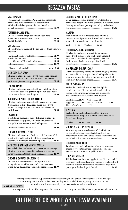# REGAZZA PASTAS

# MEAT LASAGNA

| Fresh ground beef, ricotta, Parmesan and mozzarella |  |
|-----------------------------------------------------|--|
| cheeses and our house marinara sauce layered        |  |
| with handmade lasagna noodles then baked to         |  |
|                                                     |  |

# TORTELLINI CARBONARA

| Cheese tortellini, crispy pancetta and scallions |  |
|--------------------------------------------------|--|
| tossed in a Parmesan cream sauce  24.99          |  |
|                                                  |  |

# MIA'S PASTAS

Choose from our pastas of the day and top them with your choice of

| Combo of Meatball and Sausage 19.99 |  |
|-------------------------------------|--|
|                                     |  |
|                                     |  |

# L CHICKEN ELLA DAWN

Chicken tenderloins sautéed with roasted red peppers, scallions, broccoli and artichoke hearts in a roasted garlic scampi sauce over penne pasta ...................... **21.99**

# CHICKEN PESTO

| Chicken tenderloins sautéed with sun-dried tomatoes,      |  |
|-----------------------------------------------------------|--|
| scallions and basil in a garlic and pine nut, basil pesto |  |
| cream sauce. Served over linguini 21.99                   |  |

# BROOKE'S CHIPOTLE CHICKEN ALFREDO

Chicken tenderloins sautéed with roasted red peppers & spinach in a chipotle Alfredo sauce, tossed with penne pasta & garnished with Parmesan cheese and garlic bread ................................................................. **21.99**

# **CACCIATORE**

| Sweet Italian sausage or sautéed chicken tenderloins |
|------------------------------------------------------|
| with roasted red peppers, onions and mushrooms       |
| in a garlic tomato sauce, tossed with penne 21.99    |
| Combo of chicken and sausage  23.99                  |

# CHICKEN & BROCCOLI PENNE

Chicken tenderloins and fresh broccoli florets sautéed in extra virgin olive oil with white wine and garlic. Tossed with Parmesan cheese and penne ................ **21.99**

# L CHICKEN & SAUSAGE MEDITERRANEAN

Sautéed chicken tenderloins and sweet Italian sausage with tomatoes, spinach and feta cheese in a roasted garlic wine sauce, tossed with penne ....................... **21.99**

# CHICKEN & SAUSAGE BOLOGNAISE

Chicken and sausage sautéed with pancetta in a bolognaise sauce with a touch of cream over pasta of the day and garnished with garlic bread............. **24.99**

# CAJUN BLACKENED CHICKEN PASTA

Cajun dredged, grilled chicken breast, tossed in a roasted red pepper and mixed greens with a warm Caesar dressing served over penne pasta and garnished with Parmesan cheese ........................................................ **23.99**

# MARSALA

Veal cutlet or chicken breast sautéed with wild mushrooms and prosciutto, finished with a Marsala wine reduction and served over linguini.

Veal..........**23.99** Chicken..........**21.99**

# CHICKEN & SAUSAGE ALFORNO

Chicken tenderloins and sweet Italian sausage sautéed with tomatoes and scallions in a roasted garlic sauce tossed with penne pasta, baked with fresh mozzarella cheese and garnished with garlic bread.................................................................. **24.99**

### MIA REGAZZA SHRIMP SCAMPI

Our house specialty. Jumbo wild shrimp lightly battered and sautéed in extra virgin olive oil with garlic, white wine and lemon. Served over linguini and garnished with shaved Parmesan cheese ................................... **28.99**

# BAKED PARMIGIANA

Veal cutlet, chicken breast or eggplant lightly breaded and pan fried in extra virgin olive oil then topped with our marinara sauce and mozzarella and Parmesan cheeses. Served over linguini.

Chicken..........**21.99** Veal..........**23.99** Eggplant..........**21.99** Two Way Combo..........**25.99** Three Way Combo..........**27.99**

# **A** PICCATA

Veal cutlet or chicken breast sautéed with wild mushrooms and capers in a lemon white wine sauce. Served over linguini.

Chicken..........**21.99** Veal..........**23.99**

# SHRIMP & SCALLOPS ORVIETO

Wild shrimp and sea scallops sautéed with fresh garlic and herbs in a roasted artichoke heart and red pepper Orvieto wine sauce. Tossed with penne and garnished with shaved Parmesan cheese................. **29.99**

# CHICKEN BRACCIOLITINI

Two boneless chicken breasts stuffed with provolone cheese & prosciutto sautéed with mushrooms in a Marsala wine sauce over angel hair pasta ................ **24.99**

# EGGPLANT ROLLATINI

Thinly sliced and breaded eggplant, pan fried and rolled with fresh ricotta and Parmesan cheese. Oven baked with marinara sauce and mozzarella cheese over angel hair pasta, garnished with garlic bread ........................... **24.99**

Before placing your order, please inform your server if you or a person in your party has a food allergy. \*Consuming raw or undercooked meat, poultry, seafood, shellfish or eggs may increase your risk of food-borne illness, especially if you have certain medical conditions.

### L LOOK FOR OUR FAVORITES!

\*\* A 20% gratuity will be added to parties of 6 or more. \*\*\* A 15% gratuity will be added to parties seated after 9 pm.

# GLUTEN FREE OR WHOLE WHEAT PASTA AVAILABLE \$2.00